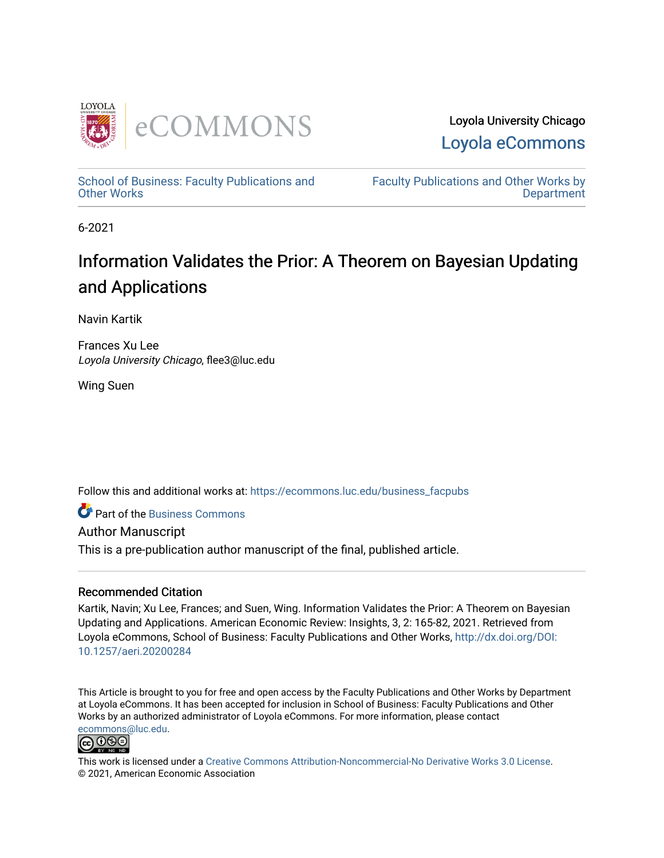

Loyola University Chicago [Loyola eCommons](https://ecommons.luc.edu/) 

[School of Business: Faculty Publications and](https://ecommons.luc.edu/business_facpubs) [Other Works](https://ecommons.luc.edu/business_facpubs)

[Faculty Publications and Other Works by](https://ecommons.luc.edu/faculty)  **Department** 

6-2021

# Information Validates the Prior: A Theorem on Bayesian Updating and Applications

Navin Kartik

Frances Xu Lee Loyola University Chicago, flee3@luc.edu

Wing Suen

Follow this and additional works at: [https://ecommons.luc.edu/business\\_facpubs](https://ecommons.luc.edu/business_facpubs?utm_source=ecommons.luc.edu%2Fbusiness_facpubs%2F223&utm_medium=PDF&utm_campaign=PDFCoverPages) 

**C** Part of the [Business Commons](https://network.bepress.com/hgg/discipline/622?utm_source=ecommons.luc.edu%2Fbusiness_facpubs%2F223&utm_medium=PDF&utm_campaign=PDFCoverPages)

Author Manuscript

This is a pre-publication author manuscript of the final, published article.

# Recommended Citation

Kartik, Navin; Xu Lee, Frances; and Suen, Wing. Information Validates the Prior: A Theorem on Bayesian Updating and Applications. American Economic Review: Insights, 3, 2: 165-82, 2021. Retrieved from Loyola eCommons, School of Business: Faculty Publications and Other Works, [http://dx.doi.org/DOI:](http://dx.doi.org/DOI:%2010.1257/aeri.20200284)  [10.1257/aeri.20200284](http://dx.doi.org/DOI:%2010.1257/aeri.20200284) 

This Article is brought to you for free and open access by the Faculty Publications and Other Works by Department at Loyola eCommons. It has been accepted for inclusion in School of Business: Faculty Publications and Other Works by an authorized administrator of Loyola eCommons. For more information, please contact [ecommons@luc.edu](mailto:ecommons@luc.edu).



This work is licensed under a [Creative Commons Attribution-Noncommercial-No Derivative Works 3.0 License.](https://creativecommons.org/licenses/by-nc-nd/3.0/) © 2021, American Economic Association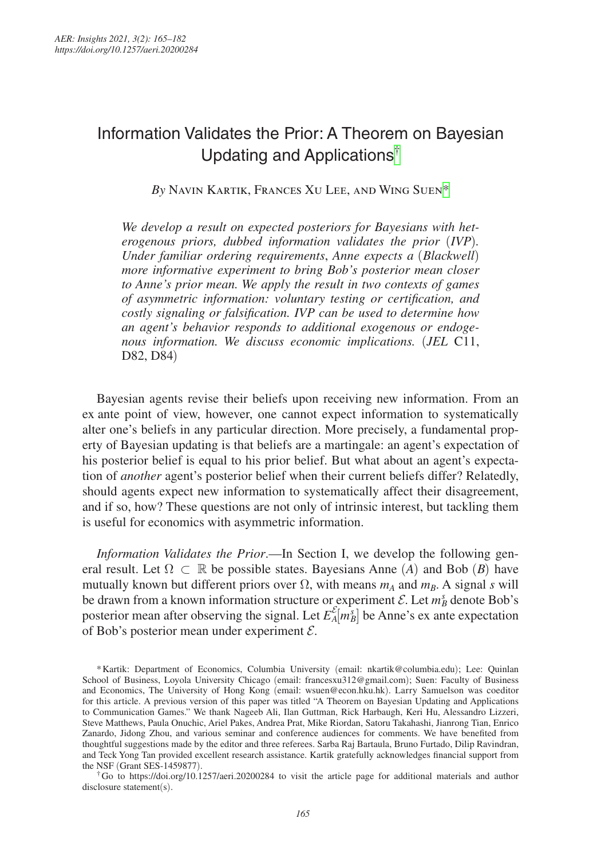# Information Validates the Prior: A Theorem on Bayesian Updating and Applications[†](#page-1-0)

*By* Navin Kartik, Frances Xu Lee, and Wing Sue[n\\*](#page-1-1)

*We develop a result on expected posteriors for Bayesians with heterogenous priors, dubbed information validates the prior (IVP). Under familiar ordering requirements*, *Anne expects a* (*Blackwell*) *more informative experiment to bring Bob's posterior mean closer to Anne's prior mean. We apply the result in two contexts of games of asymmetric information: voluntary testing or certification, and costly signaling or falsification. IVP can be used to determine how an agent's behavior responds to additional exogenous or endogenous information. We discuss economic implications.* (*JEL* C11, D82, D84)

Bayesian agents revise their beliefs upon receiving new information. From an ex ante point of view, however, one cannot expect information to systematically alter one's beliefs in any particular direction. More precisely, a fundamental property of Bayesian updating is that beliefs are a martingale: an agent's expectation of his posterior belief is equal to his prior belief. But what about an agent's expectation of *another* agent's posterior belief when their current beliefs differ? Relatedly, should agents expect new information to systematically affect their disagreement, and if so, how? These questions are not only of intrinsic interest, but tackling them is useful for economics with asymmetric information.

*Information Validates the Prior*.—In Section I, we develop the following general result. Let  $\Omega \subset \mathbb{R}$  be possible states. Bayesians Anne (*A*) and Bob (*B*) have mutually known but different priors over  $\Omega$ , with means  $m_A$  and  $m_B$ . A signal *s* will be drawn from a known information structure or experiment  $\mathcal{E}$ . Let  $m_B^s$  denote Bob's posterior mean after observing the signal. Let  $E_A^{\mathcal{E}}[m_B^s]$  be Anne's ex ante expectation of Bob's posterior mean under experiment  $\mathcal{E}$ .

<span id="page-1-0"></span>disclosure statement(s).

<span id="page-1-1"></span><sup>\*</sup>Kartik: Department of Economics, Columbia University (email: [nkartik@columbia.edu](mailto:nkartik@columbia.edu)); Lee: Quinlan School of Business, Loyola University Chicago (email: [francesxu312@gmail.com](mailto:francesxu312@gmail.com)); Suen: Faculty of Business and Economics, The University of Hong Kong (email: [wsuen@econ.hku.hk](mailto:wsuen@econ.hku.hk)). Larry Samuelson was coeditor for this article. A previous version of this paper was titled "A Theorem on Bayesian Updating and Applications to Communication Games." We thank Nageeb Ali, Ilan Guttman, Rick Harbaugh, Keri Hu, Alessandro Lizzeri, Steve Matthews, Paula Onuchic, Ariel Pakes, Andrea Prat, Mike Riordan, Satoru Takahashi, Jianrong Tian, Enrico Zanardo, Jidong Zhou, and various seminar and conference audiences for comments. We have benefited from thoughtful suggestions made by the editor and three referees. Sarba Raj Bartaula, Bruno Furtado, Dilip Ravindran, and Teck Yong Tan provided excellent research assistance. Kartik gratefully acknowledges financial support from the NSF (Grant SES-1459877). †Go to <https://doi.org/10.1257/aeri.20200284> to visit the article page for additional materials and author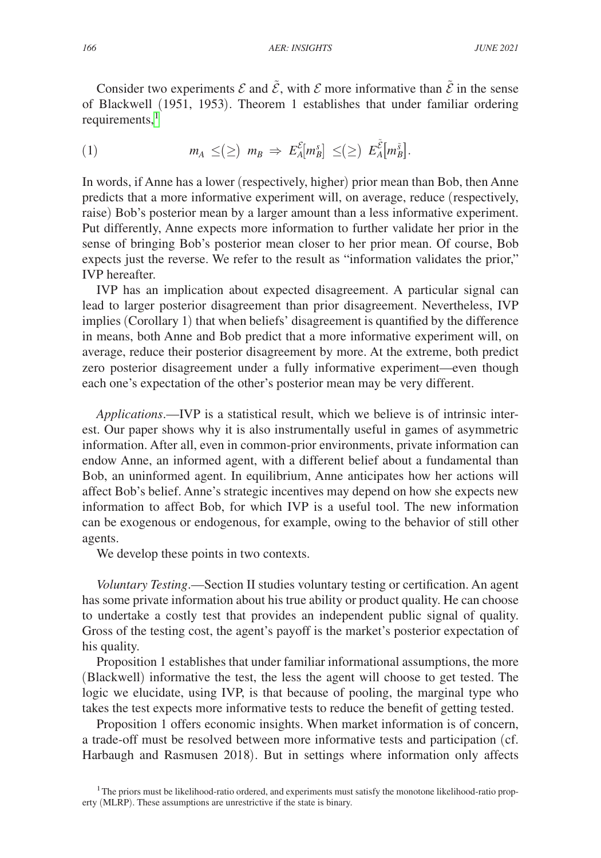Consider two experiments  $\mathcal E$  and  $\tilde{\mathcal E}$ , with  $\mathcal E$  more informative than  $\tilde{\mathcal E}$  in the sense Ï. of Blackwell (1951, 1953). Theorem 1 establishes that under familiar ordering requirements, $<sup>1</sup>$ </sup>

$$
(1) \t\t m_A \leq (\geq) m_B \Rightarrow E_A^{\mathcal{E}}[m_B^s] \leq (\geq) E_A^{\tilde{\mathcal{E}}}[m_B^{\tilde{s}}].
$$

In words, if Anne has a lower (respectively, higher) prior mean than Bob, then Anne predicts that a more informative experiment will, on average, reduce (respectively, raise) Bob's posterior mean by a larger amount than a less informative experiment. Put differently, Anne expects more information to further validate her prior in the sense of bringing Bob's posterior mean closer to her prior mean. Of course, Bob expects just the reverse. We refer to the result as "information validates the prior," IVP hereafter.

IVP has an implication about expected disagreement. A particular signal can lead to larger posterior disagreement than prior disagreement. Nevertheless, IVP implies (Corollary 1) that when beliefs' disagreement is quantified by the difference in means, both Anne and Bob predict that a more informative experiment will, on average, reduce their posterior disagreement by more. At the extreme, both predict zero posterior disagreement under a fully informative experiment—even though each one's expectation of the other's posterior mean may be very different.

*Applications*.—IVP is a statistical result, which we believe is of intrinsic interest. Our paper shows why it is also instrumentally useful in games of asymmetric information. After all, even in common-prior environments, private information can endow Anne, an informed agent, with a different belief about a fundamental than Bob, an uninformed agent. In equilibrium, Anne anticipates how her actions will affect Bob's belief. Anne's strategic incentives may depend on how she expects new information to affect Bob, for which IVP is a useful tool. The new information can be exogenous or endogenous, for example, owing to the behavior of still other agents.

We develop these points in two contexts.

*Voluntary Testing*.—Section II studies voluntary testing or certification. An agent has some private information about his true ability or product quality. He can choose to undertake a costly test that provides an independent public signal of quality. Gross of the testing cost, the agent's payoff is the market's posterior expectation of his quality.

Proposition 1 establishes that under familiar informational assumptions, the more (Blackwell) informative the test, the less the agent will choose to get tested. The logic we elucidate, using IVP, is that because of pooling, the marginal type who takes the test expects more informative tests to reduce the benefit of getting tested.

Proposition 1 offers economic insights. When market information is of concern, a trade-off must be resolved between more informative tests and participation (cf. Harbaugh and Rasmusen 2018). But in settings where information only affects

<span id="page-2-0"></span><sup>&</sup>lt;sup>1</sup>The priors must be likelihood-ratio ordered, and experiments must satisfy the monotone likelihood-ratio property (MLRP). These assumptions are unrestrictive if the state is binary.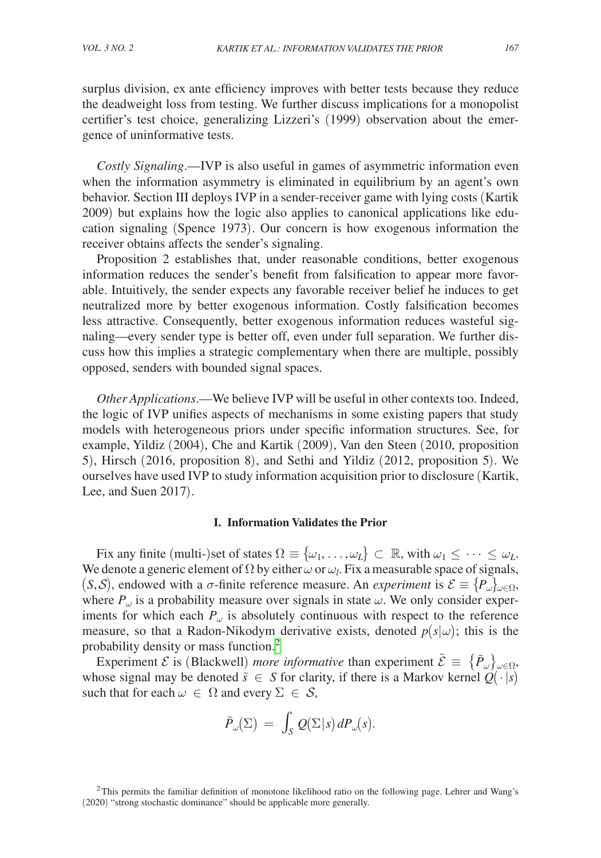surplus division, ex ante efficiency improves with better tests because they reduce the deadweight loss from testing. We further discuss implications for a monopolist certifier's test choice, generalizing Lizzeri's (1999) observation about the emergence of uninformative tests.

*Costly Signaling*.—IVP is also useful in games of asymmetric information even when the information asymmetry is eliminated in equilibrium by an agent's own behavior. Section III deploys IVP in a sender-receiver game with lying costs (Kartik 2009) but explains how the logic also applies to canonical applications like education signaling (Spence 1973). Our concern is how exogenous information the receiver obtains affects the sender's signaling.

Proposition 2 establishes that, under reasonable conditions, better exogenous information reduces the sender's benefit from falsification to appear more favorable. Intuitively, the sender expects any favorable receiver belief he induces to get neutralized more by better exogenous information. Costly falsification becomes less attractive. Consequently, better exogenous information reduces wasteful signaling—every sender type is better off, even under full separation. We further discuss how this implies a strategic complementary when there are multiple, possibly opposed, senders with bounded signal spaces.

*Other Applications*.—We believe IVP will be useful in other contexts too. Indeed, the logic of IVP unifies aspects of mechanisms in some existing papers that study models with heterogeneous priors under specific information structures. See, for example, Yildiz (2004), Che and Kartik (2009), Van den Steen (2010, proposition 5), Hirsch (2016, proposition 8), and Sethi and Yildiz (2012, proposition 5). We ourselves have used IVP to study information acquisition prior to disclosure (Kartik, Lee, and Suen 2017).

# **I. Information Validates the Prior**

Fix any finite (multi-)set of states  $\Omega \equiv {\omega_1, \ldots, \omega_L} \subset \mathbb{R}$ , with  $\omega_1 \leq \cdots \leq \omega_L$ . We denote a generic element of  $\Omega$  by either  $\omega$  or  $\omega_l$ . Fix a measurable space of signals, (*S*, *S*), endowed with a  $\sigma$ -finite reference measure. An *experiment* is  $\mathcal{E} \equiv \{P_{\omega}\}_{{\omega}\in\Omega}$ , where  $P_{\omega}$  is a probability measure over signals in state  $\omega$ . We only consider experiments for which each  $P_{\omega}$  is absolutely continuous with respect to the reference measure, so that a Radon-Nikodym derivative exists, denoted  $p(s|\omega)$ ; this is the probability density or mass function.[2](#page-3-0)

Experiment  $\mathcal{E}$  is (Blackwell) *more informative* than experiment  $\tilde{\mathcal{E}} = \{ \tilde{P}_{\omega} \}_{\omega \in \Omega}$ , whose signal may be denoted  $\tilde{s} \in S$  for clarity, if there is a Markov kernel  $Q(\cdot|s)$ such that for each  $\omega \in \Omega$  and every  $\Sigma \in \mathcal{S}$ ,

$$
\tilde P_\omega(\Sigma) \ = \ \int_S \, Q(\Sigma|s) \, dP_\omega(s).
$$

<span id="page-3-0"></span><sup>&</sup>lt;sup>2</sup>This permits the familiar definition of monotone likelihood ratio on the following page. Lehrer and Wang's (2020) "strong stochastic dominance" should be applicable more generally.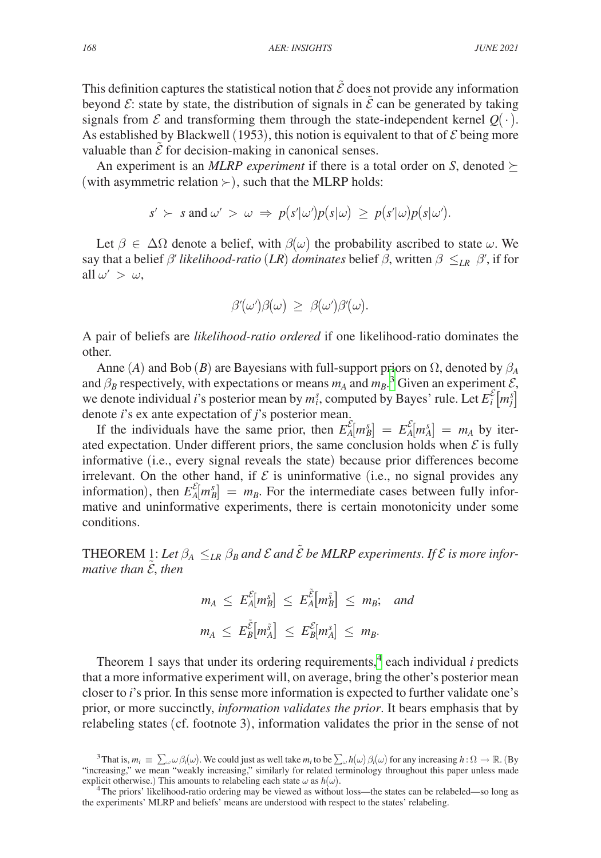This definition captures the statistical notion that  $\tilde{\mathcal{E}}$  does not provide any information beyond  $\mathcal{E}$ : state by state, the distribution of signals in  $\tilde{\mathcal{E}}$  can be generated by taking signals from  $\mathcal E$  and transforming them through the state-independent kernel  $Q(\cdot)$ . As established by Blackwell (1953), this notion is equivalent to that of  $\mathcal E$  being more valuable than  $\tilde{\mathcal{E}}$  for decision-making in canonical senses.

An experiment is an *MLRP experiment* if there is a total order on *S*, denoted  $\succeq$ (with asymmetric relation  $\succ$ ), such that the MLRP holds:

$$
s' \succ s \text{ and } \omega' > \omega \Rightarrow p(s'|\omega')p(s|\omega) \geq p(s'|\omega)p(s|\omega').
$$

Let  $\beta \in \Delta\Omega$  denote a belief, with  $\beta(\omega)$  the probability ascribed to state  $\omega$ . We say that a belief  $\beta'$  *likelihood-ratio* (*LR*) *dominates* belief  $\beta$ , written  $\beta \leq_{LR} \beta'$ , if for all  $\omega' > \omega$ ,

$$
\beta'(\omega')\beta(\omega) \ \geq \ \beta(\omega')\beta'(\omega).
$$

A pair of beliefs are *likelihood-ratio ordered* if one likelihood-ratio dominates the other.

Anne (*A*) and Bob (*B*) are Bayesians with full-support priors on  $\Omega$ , denoted by  $\beta_A$ and  $\beta_B$  respectively, with expectations or means  $m_A$  and  $m_B$ .<sup>[3](#page-4-0)</sup> Given an experiment  $\mathcal{E}$ , we denote individual *i*'s posterior mean by  $m_i^s$ , computed by Bayes' rule. Let  $E_i^{\mathcal{E}}[m_j^s]$ denote *i*'s ex ante expectation of *j*'s posterior mean.

If the individuals have the same prior, then  $E_A^{\mathcal{E}}[m_B^s] = E_A^{\mathcal{E}}[m_A^s] = m_A$  by iterated expectation. Under different priors, the same conclusion holds when  $\mathcal E$  is fully informative (i.e., every signal reveals the state) because prior differences become irrelevant. On the other hand, if  $\mathcal E$  is uninformative (i.e., no signal provides any information), then  $E_A^{\mathcal{E}}[m_B^s] = m_B$ . For the intermediate cases between fully informative and uninformative experiments, there is certain monotonicity under some conditions.

THEOREM 1: Let  $\beta_A \leq_{LR} \beta_B$  and  $\mathcal E$  and  $\mathcal{\tilde E}$  be MLRP experiments. If  $\mathcal E$  is more infor*mative than* ̃ , *then*

$$
m_A \leq E_A^{\mathcal{E}}[m_B^s] \leq E_A^{\mathcal{E}}[m_B^{\tilde{s}}] \leq m_B;
$$
 and  
 $m_A \leq E_B^{\tilde{\mathcal{E}}} [m_A^{\tilde{s}}] \leq E_B^{\mathcal{E}}[m_A^s] \leq m_B.$ 

Theorem 1 says that under its ordering requirements,  $4$  each individual *i* predicts that a more informative experiment will, on average, bring the other's posterior mean closer to *i*'s prior. In this sense more information is expected to further validate one's prior, or more succinctly, *information validates the prior*. It bears emphasis that by relabeling states (cf. footnote 3), information validates the prior in the sense of not

<span id="page-4-0"></span><sup>&</sup>lt;sup>3</sup>That is,  $m_i \equiv \sum_{\omega} \omega \beta_i(\omega)$ . We could just as well take  $m_i$  to be  $\sum_{\omega} h(\omega) \beta_i(\omega)$  for any increasing  $h : \Omega \to \mathbb{R}$ . (By "increasing," we mean "weakly increasing," similarly for related terminology throughout this paper unless made<br>explicit otherwise.) This amounts to relabeling each state  $\omega$  as  $h(\omega)$ .

<span id="page-4-1"></span><sup>&</sup>lt;sup>4</sup>The priors' likelihood-ratio ordering may be viewed as without loss—the states can be relabeled—so long as the experiments' MLRP and beliefs' means are understood with respect to the states' relabeling.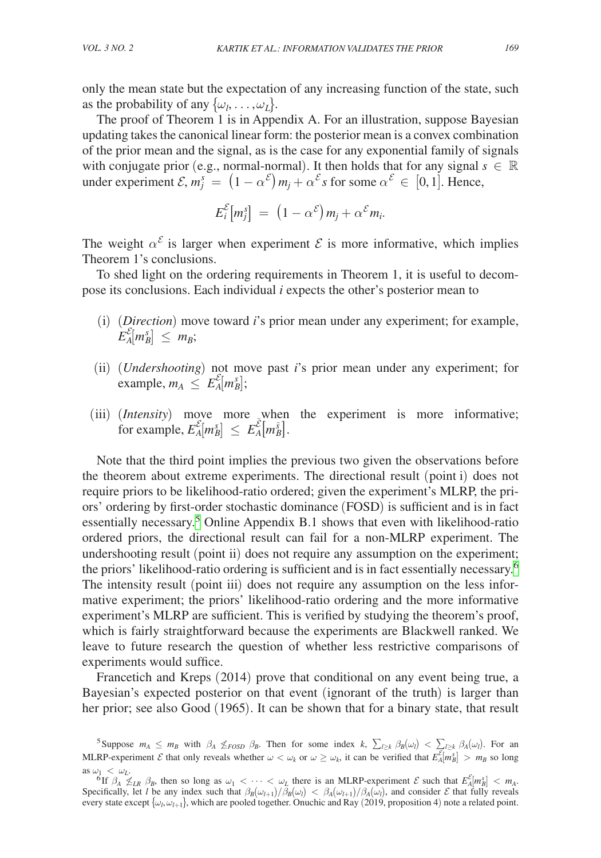only the mean state but the expectation of any increasing function of the state, such as the probability of any  $\{\omega_l, \ldots, \omega_L\}$ .

The proof of Theorem 1 is in Appendix A. For an illustration, suppose Bayesian updating takes the canonical linear form: the posterior mean is a convex combination of the prior mean and the signal, as is the case for any exponential family of signals with conjugate prior (e.g., normal-normal). It then holds that for any signal  $s \in \mathbb{R}$ under experiment  $\mathcal{E}, m_j^s = (1 - \alpha^{\mathcal{E}}) m_j + \alpha^{\mathcal{E}} s$  for some  $\alpha^{\mathcal{E}} \in [0, 1]$ . Hence,

$$
E_i^{\mathcal{E}}[m_j^s] = (1 - \alpha^{\mathcal{E}}) m_j + \alpha^{\mathcal{E}} m_i.
$$

The weight  $\alpha^{\varepsilon}$  is larger when experiment  $\varepsilon$  is more informative, which implies Theorem 1's conclusions.

To shed light on the ordering requirements in Theorem 1, it is useful to decompose its conclusions. Each individual *i* expects the other's posterior mean to

- (i) (*Direction*) move toward *i*'s prior mean under any experiment; for example,  $E_A^{\mathcal{E}}[m_B^s] \leq m_B;$
- (ii) (*Undershooting*) not move past *i*'s prior mean under any experiment; for example,  $m_A \leq E_A^{\mathcal{E}}[m_B^s];$
- (iii) (*Intensity*) move more when the experiment is more informative; for example,  $E_A^{\mathcal{E}}[m_B^s] \le E_A^{\tilde{\mathcal{E}}}[m_B^{\tilde{s}}]$ .

Note that the third point implies the previous two given the observations before the theorem about extreme experiments. The directional result (point i) does not require priors to be likelihood-ratio ordered; given the experiment's MLRP, the priors' ordering by first-order stochastic dominance (FOSD) is sufficient and is in fact essentially necessary.<sup>[5](#page-5-0)</sup> Online Appendix B.1 shows that even with likelihood-ratio ordered priors, the directional result can fail for a non-MLRP experiment. The undershooting result (point ii) does not require any assumption on the experiment; the priors' likelihood-ratio ordering is sufficient and is in fact essentially necessary.[6](#page-5-1) The intensity result (point iii) does not require any assumption on the less informative experiment; the priors' likelihood-ratio ordering and the more informative experiment's MLRP are sufficient. This is verified by studying the theorem's proof, which is fairly straightforward because the experiments are Blackwell ranked. We leave to future research the question of whether less restrictive comparisons of experiments would suffice.

Francetich and Kreps (2014) prove that conditional on any event being true, a Bayesian's expected posterior on that event (ignorant of the truth) is larger than her prior; see also Good (1965). It can be shown that for a binary state, that result

<span id="page-5-0"></span><sup>&</sup>lt;sup>5</sup>Suppose  $m_A \leq m_B$  with  $\beta_A \nleq_{FOSD} \beta_B$ . Then for some index  $k$ ,  $\sum_{l \geq k} \beta_B(\omega_l) < \sum_{l \geq k} \beta_A(\omega_l)$ . For an MLRP-experiment  $\mathcal E$  that only reveals whether  $\omega < \omega_k$  or  $\omega \ge \omega_k$ , it can be verified that  $E_A^{\mathcal E}[m_B^s] > m_B$  so long

<span id="page-5-1"></span>as  $\omega_1 < \omega_L$ .<br><sup>6</sup>If  $\beta_A \nleq L_R \beta_B$ , then so long as  $\omega_1 < \cdots < \omega_L$  there is an MLRP-experiment  $\mathcal E$  such that  $E_A^{\mathcal E}[m_B^s] < m_A$ . Specifically, let *l* be any index such that  $\beta_B(\omega_l+1)/\beta_B(\omega_l) < \beta_A(\omega_l+1)/\beta_A(\omega_l)$ , and consider *E* that fully reveals every state except  $\{\omega_l, \omega_{l+1}\}\$ , which are pooled together. Onuchic and Ray (2019, proposition 4) note a related point.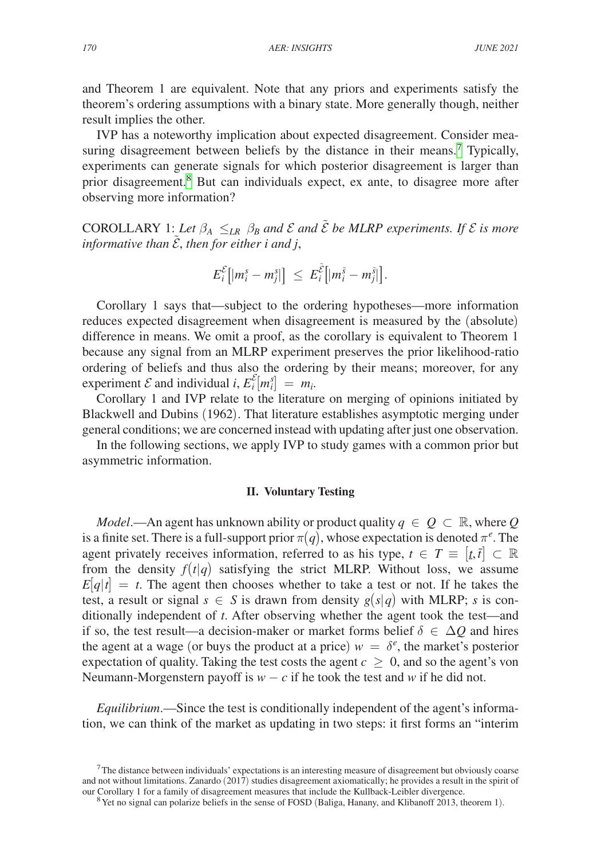and Theorem 1 are equivalent. Note that any priors and experiments satisfy the theorem's ordering assumptions with a binary state. More generally though, neither result implies the other.

IVP has a noteworthy implication about expected disagreement. Consider mea-suring disagreement between beliefs by the distance in their means.<sup>[7](#page-6-0)</sup> Typically, experiments can generate signals for which posterior disagreement is larger than prior disagreement.<sup>8</sup> But can individuals expect, ex ante, to disagree more after observing more information?

COROLLARY 1: *Let*  $\beta_A \leq_{LR} \beta_B$  and  $\mathcal E$  and  $\tilde{\mathcal E}$  be MLRP experiments. If  $\mathcal E$  is more *informative than* ̃ , *then for either i and j*,

$$
E_i^{\mathcal{E}}\big[ |m_i^s-m_j^s| \big] \ \le \ E_i^{\tilde{\mathcal{E}}} \big[ |m_i^{\tilde{s}}-m_j^{\tilde{s}}| \big].
$$

Corollary 1 says that—subject to the ordering hypotheses—more information reduces expected disagreement when disagreement is measured by the (absolute) difference in means. We omit a proof, as the corollary is equivalent to Theorem 1 because any signal from an MLRP experiment preserves the prior likelihood-ratio ordering of beliefs and thus also the ordering by their means; moreover, for any experiment  $\mathcal E$  and individual *i*,  $E_i^{\mathcal E}[m_i^s] = m_i$ .

Corollary 1 and IVP relate to the literature on merging of opinions initiated by Blackwell and Dubins (1962). That literature establishes asymptotic merging under general conditions; we are concerned instead with updating after just one observation.

In the following sections, we apply IVP to study games with a common prior but asymmetric information.

# **II. Voluntary Testing**

*Model*.—An agent has unknown ability or product quality  $q \in Q \subset \mathbb{R}$ , where Q is a finite set. There is a full-support prior  $\pi(q)$ , whose expectation is denoted  $\pi^e$ . The agent privately receives information, referred to as his type,  $t \in T \equiv [t, \bar{t}] \subset \mathbb{R}$ from the density  $f(t|q)$  satisfying the strict MLRP. Without loss, we assume  $E|q|t| = t$ . The agent then chooses whether to take a test or not. If he takes the test, a result or signal  $s \in S$  is drawn from density  $g(s|q)$  with MLRP; *s* is conditionally independent of *t*. After observing whether the agent took the test—and if so, the test result—a decision-maker or market forms belief  $\delta \in \Delta Q$  and hires the agent at a wage (or buys the product at a price)  $w = \delta^e$ , the market's posterior expectation of quality. Taking the test costs the agent  $c \geq 0$ , and so the agent's von Neumann-Morgenstern payoff is  $w - c$  if he took the test and w if he did not.

*Equilibrium*.—Since the test is conditionally independent of the agent's information, we can think of the market as updating in two steps: it first forms an "interim

<span id="page-6-0"></span><sup>7</sup>The distance between individuals' expectations is an interesting measure of disagreement but obviously coarse and not without limitations. Zanardo  $(2017)$  studies disagreement axiomatically; he provides a result in the spirit of our Corollary 1 for a family of disagreement measures that include the Kullback-Leibler divergence.

<span id="page-6-1"></span><sup>&</sup>lt;sup>8</sup> Yet no signal can polarize beliefs in the sense of FOSD (Baliga, Hanany, and Klibanoff 2013, theorem 1).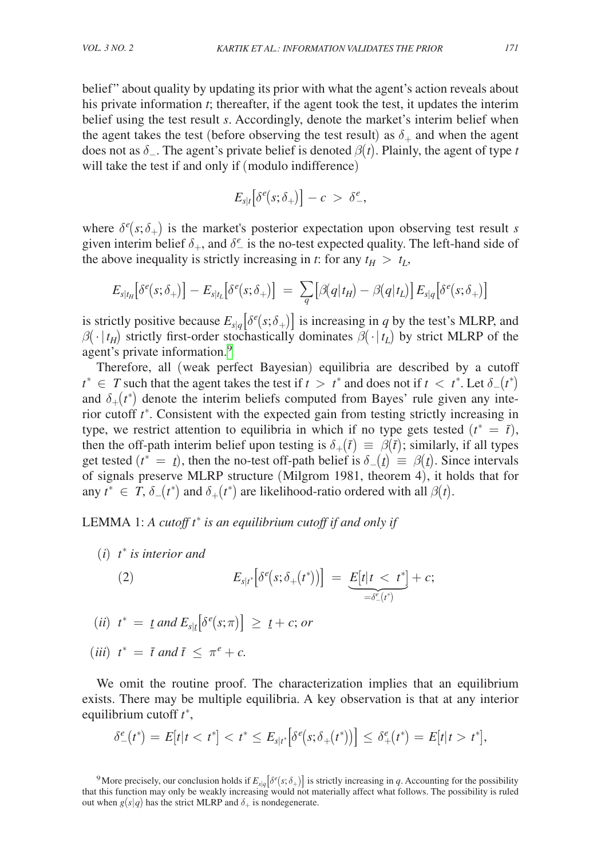belief" about quality by updating its prior with what the agent's action reveals about his private information *t*; thereafter, if the agent took the test, it updates the interim belief using the test result *s*. Accordingly, denote the market's interim belief when the agent takes the test (before observing the test result) as  $\delta_+$  and when the agent does not as  $\delta$ <sub>-</sub>. The agent's private belief is denoted  $\beta(t)$ . Plainly, the agent of type *t* will take the test if and only if (modulo indifference)

$$
E_{s|t}\big[\delta^e(s;\delta_+)\big] - c\ >\ \delta^e_-,\quad
$$

where  $\delta^e(s; \delta_+)$  is the market's posterior expectation upon observing test result *s* given interim belief  $\delta_+$ , and  $\delta_-^e$  is the no-test expected quality. The left-hand side of the above inequality is strictly increasing in *t*: for any  $t_H > t_L$ ,

$$
E_{s|t_H}\big[\delta^e(s;\delta_+)\big]-E_{s|t_L}\big[\delta^e(s;\delta_+)\big] \ = \ \sum_q \big[\beta(q|t_H)-\beta(q|t_L)\big]\,E_{s|q}\big[\delta^e(s;\delta_+)\big]
$$

is strictly positive because  $E_{s|q}[\delta^e(s;\delta_+)]$  is increasing in *q* by the test's MLRP, and  $\beta(\cdot | t_H)$  strictly first-order stochastically dominates  $\beta(\cdot | t_L)$  by strict MLRP of the agent's private information.<sup>[9](#page-7-0)</sup>

Therefore, all (weak perfect Bayesian) equilibria are described by a cutoff  $t^* \in T$  such that the agent takes the test if  $t > t^*$  and does not if  $t < t^*$ . Let  $\delta_-(t^*)$ and  $\delta_{+}(t^*)$  denote the interim beliefs computed from Bayes' rule given any interior cutoff  $t^*$ . Consistent with the expected gain from testing strictly increasing in type, we restrict attention to equilibria in which if no type gets tested  $(t^* = \bar{t})$ , then the off-path interim belief upon testing is  $\delta_+(\bar{t}) \equiv \beta(\bar{t})$ ; similarly, if all types get tested ( $t^* = t$ ), then the no-test off-path belief is  $\delta_-(t) \equiv \beta(t)$ . Since intervals  $\overline{\text{of signals}}$  preserve MLRP structure (Milgrom 1981, theorem 4), it holds that for any  $t^* \in T$ ,  $\delta_-(t^*)$  and  $\delta_+(t^*)$  are likelihood-ratio ordered with all  $\beta(t)$ .

LEMMA 1: *A cutoff t* ∗  *is an equilibrium cutoff if and only if*

(*i*) *t* ∗  *is interior and*

(2) 
$$
E_{s|t^*}\big[\delta^e(s;\delta_+(t^*))\big] = \underbrace{E[t|t < t^*]}_{=\delta^e_-(t^*)} + c;
$$

 $(iii)$   $t^* = t$  and  $E_{s|t}[\delta^e(s;\pi)] \geq t + c$ ; or ¯

 $(iii)$   $t^* = \bar{t}$  and  $\bar{t} \leq \pi^e + c$ .

We omit the routine proof. The characterization implies that an equilibrium exists. There may be multiple equilibria. A key observation is that at any interior equilibrium cutoff *t* ∗ ,

$$
\delta^e_-(t^*)=E[t|tt^*],
$$

<span id="page-7-0"></span><sup>&</sup>lt;sup>9</sup>More precisely, our conclusion holds if  $E_{s|q}[\delta^e(s;\delta_+)]$  is strictly increasing in *q*. Accounting for the possibility that this function may only be weakly increasing would not materially affect what follows. The possibility is ruled out when  $g(s|q)$  has the strict MLRP and  $\delta_+$  is nondegenerate.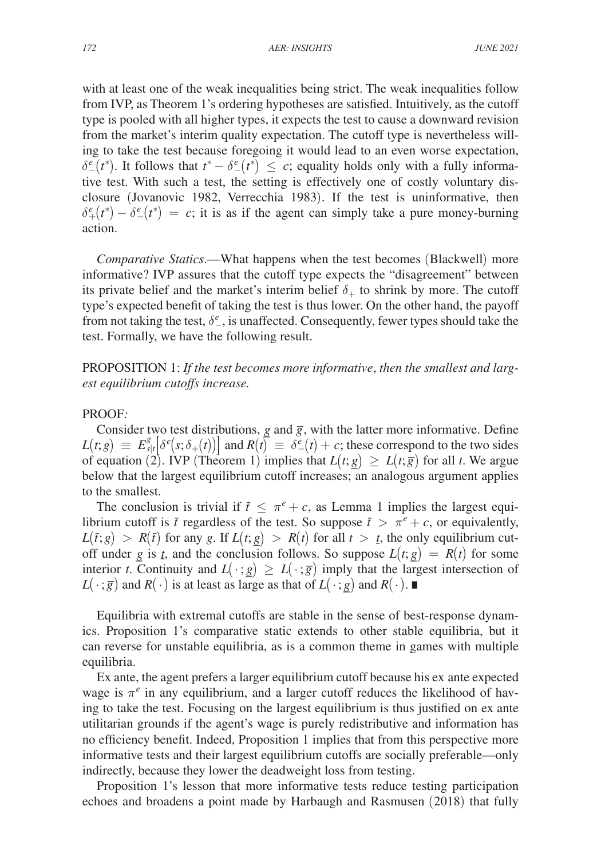with at least one of the weak inequalities being strict. The weak inequalities follow from IVP, as Theorem 1's ordering hypotheses are satisfied. Intuitively, as the cutoff type is pooled with all higher types, it expects the test to cause a downward revision from the market's interim quality expectation. The cutoff type is nevertheless willing to take the test because foregoing it would lead to an even worse expectation,  $\delta_{-}^{e}(t^*)$ . It follows that  $t^* - \delta_{-}^{e}(t^*) \leq c$ ; equality holds only with a fully informative test. With such a test, the setting is effectively one of costly voluntary disclosure (Jovanovic 1982, Verrecchia 1983). If the test is uninformative, then  $\delta_{+}^{e}(t^*) - \delta_{-}^{e}(t^*) = c$ ; it is as if the agent can simply take a pure money-burning action.

*Comparative Statics*.—What happens when the test becomes (Blackwell) more informative? IVP assures that the cutoff type expects the "disagreement" between its private belief and the market's interim belief  $\delta_+$  to shrink by more. The cutoff type's expected benefit of taking the test is thus lower. On the other hand, the payoff from not taking the test,  $\delta_{-}^e$ , is unaffected. Consequently, fewer types should take the test. Formally, we have the following result.

PROPOSITION 1: *If the test becomes more informative*, *then the smallest and largest equilibrium cutoffs increase.*

# PROOF*:*

Consider two test distributions,  $g$  and  $\overline{g}$ , with the latter more informative. Define  $L(t; g) \equiv E_{s|t}^{g} [\delta^{e}(s; \delta_{+}(t))]$  and  $R(t) \equiv \delta^{e}(t) + c$ ; these correspond to the two sides of equation (2). IVP (Theorem 1) implies that  $L(t; g) \ge L(t; \overline{g})$  for all *t*. We argue below that the largest equilibrium cutoff increases; an analogous argument applies to the smallest.

The conclusion is trivial if  $\bar{t} \leq \pi^e + c$ , as Lemma 1 implies the largest equilibrium cutoff is  $\bar{t}$  regardless of the test. So suppose  $\bar{t} > \pi^e + c$ , or equivalently,  $L(t; g) > R(t)$  for any *g*. If  $L(t; g) > R(t)$  for all  $t > t$ , the only equilibrium cut- $L(t, g) > R(t)$  for any g. If  $L(t, g) > R(t)$  for an  $t > t$ , the only equinorium cut-<br>off under *g* is *t*, and the conclusion follows. So suppose  $L(t, g) = R(t)$  for some order  $\underline{g}$  is  $\underline{r}$ , and the conclusion follows. So suppose  $L(t, \underline{g}) = K(t)$  for some<br>interior *t*. Continuity and  $L(\cdot; \underline{g}) \ge L(\cdot; \overline{g})$  imply that the largest intersection of  $L(\cdot; g)$  and  $R(\cdot)$  is at least as large as that of  $L(\cdot; g)$ <br> $L(\cdot; g)$  and  $R(\cdot)$  is at least as large as that of  $L(\cdot; g)$  $\underline{g}$  and  $R(\cdot)$ . ■

Equilibria with extremal cutoffs are stable in the sense of best-response dynamics. Proposition 1's comparative static extends to other stable equilibria, but it can reverse for unstable equilibria, as is a common theme in games with multiple equilibria.

Ex ante, the agent prefers a larger equilibrium cutoff because his ex ante expected wage is  $\pi^e$  in any equilibrium, and a larger cutoff reduces the likelihood of having to take the test. Focusing on the largest equilibrium is thus justified on ex ante utilitarian grounds if the agent's wage is purely redistributive and information has no efficiency benefit. Indeed, Proposition 1 implies that from this perspective more informative tests and their largest equilibrium cutoffs are socially preferable—only indirectly, because they lower the deadweight loss from testing.

Proposition 1's lesson that more informative tests reduce testing participation echoes and broadens a point made by Harbaugh and Rasmusen (2018) that fully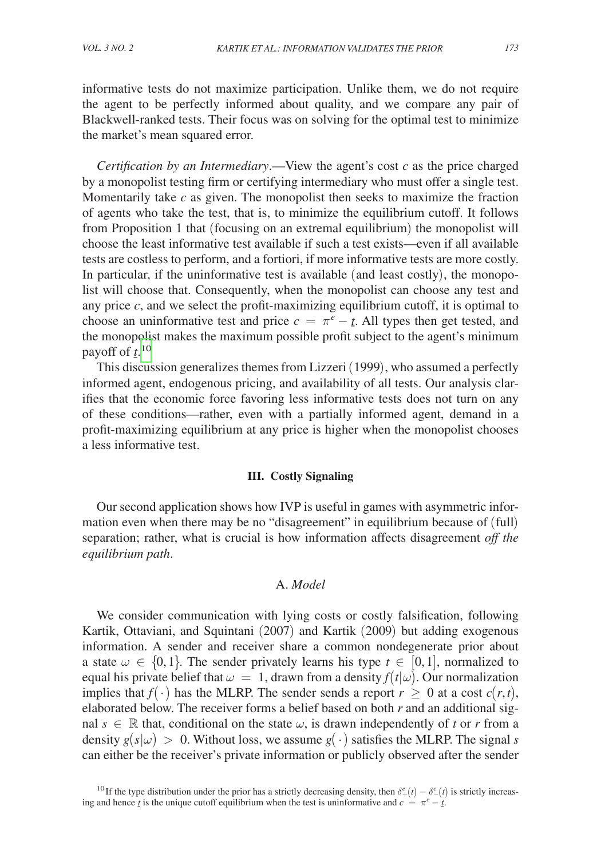informative tests do not maximize participation. Unlike them, we do not require the agent to be perfectly informed about quality, and we compare any pair of Blackwell-ranked tests. Their focus was on solving for the optimal test to minimize the market's mean squared error.

*Certification by an Intermediary*.—View the agent's cost *c* as the price charged by a monopolist testing firm or certifying intermediary who must offer a single test. Momentarily take *c* as given. The monopolist then seeks to maximize the fraction of agents who take the test, that is, to minimize the equilibrium cutoff. It follows from Proposition 1 that (focusing on an extremal equilibrium) the monopolist will choose the least informative test available if such a test exists—even if all available tests are costless to perform, and a fortiori, if more informative tests are more costly. In particular, if the uninformative test is available (and least costly), the monopolist will choose that. Consequently, when the monopolist can choose any test and any price *c*, and we select the profit-maximizing equilibrium cutoff, it is optimal to choose an uninformative test and price  $c = \pi^e - t$ . All types then get tested, and the monopolist makes the maximum possible profit subject to the agent's minimum payoff of  $\hat{t}$ <sup>[10](#page-9-0)</sup>

This discussion generalizes themes from Lizzeri (1999), who assumed a perfectly informed agent, endogenous pricing, and availability of all tests. Our analysis clarifies that the economic force favoring less informative tests does not turn on any of these conditions—rather, even with a partially informed agent, demand in a profit-maximizing equilibrium at any price is higher when the monopolist chooses a less informative test.

# **III. Costly Signaling**

Our second application shows how IVP is useful in games with asymmetric information even when there may be no "disagreement" in equilibrium because of (full) separation; rather, what is crucial is how information affects disagreement *off the equilibrium path*.

# A. *Model*

We consider communication with lying costs or costly falsification, following Kartik, Ottaviani, and Squintani (2007) and Kartik (2009) but adding exogenous information. A sender and receiver share a common nondegenerate prior about a state  $\omega \in \{0,1\}$ . The sender privately learns his type  $t \in [0,1]$ , normalized to equal his private belief that  $\omega = 1$ , drawn from a density  $f(t|\omega)$ . Our normalization implies that *f*(⋅) has the MLRP. The sender sends a report  $r \ge 0$  at a cost  $c(r,t)$ , elaborated below. The receiver forms a belief based on both *r* and an additional signal  $s \in \mathbb{R}$  that, conditional on the state  $\omega$ , is drawn independently of *t* or *r* from a density  $g(s|\omega) > 0$ . Without loss, we assume  $g(\cdot)$  satisfies the MLRP. The signal *s* can either be the receiver's private information or publicly observed after the sender

<span id="page-9-0"></span><sup>&</sup>lt;sup>10</sup> If the type distribution under the prior has a strictly decreasing density, then  $\delta^e_+(t) - \delta^e_-(t)$  is strictly increasing and hence *t* is the unique cutoff equilibrium when the test is uninformative and  $c = \pi^e - t$ .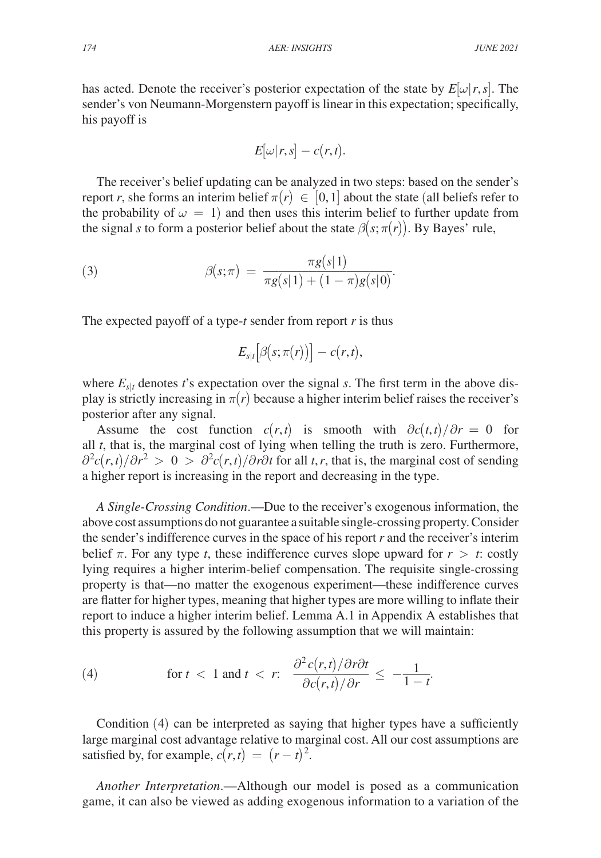has acted. Denote the receiver's posterior expectation of the state by  $E[\omega|r, s]$ . The sender's von Neumann-Morgenstern payoff is linear in this expectation; specifically, his payoff is

$$
E[\omega|r,s] - c(r,t).
$$

The receiver's belief updating can be analyzed in two steps: based on the sender's report *r*, she forms an interim belief  $\pi(r) \in [0,1]$  about the state (all beliefs refer to the probability of  $\omega = 1$ ) and then uses this interim belief to further update from the signal *s* to form a posterior belief about the state  $\beta(s; \pi(r))$ . By Bayes' rule,

(3) 
$$
\beta(s; \pi) = \frac{\pi g(s|1)}{\pi g(s|1) + (1 - \pi)g(s|0)}.
$$

The expected payoff of a type-*t* sender from report *r* is thus

$$
E_{s|t}\big[\beta\big(s;\pi(r)\big)\big] - c(r,t),
$$

where  $E_{s|t}$  denotes *t*'s expectation over the signal *s*. The first term in the above display is strictly increasing in  $\pi(r)$  because a higher interim belief raises the receiver's posterior after any signal.

Assume the cost function  $c(r,t)$  is smooth with  $\partial c(t,t)/\partial r = 0$  for all *t*, that is, the marginal cost of lying when telling the truth is zero. Furthermore,  $\frac{\partial^2 c(r,t)}{\partial r^2} > 0 > \frac{\partial^2 c(r,t)}{\partial r \partial t}$  for all *t*,*r*, that is, the marginal cost of sending a higher report is increasing in the report and decreasing in the type.

*A Single-Crossing Condition*.—Due to the receiver's exogenous information, the above cost assumptions do not guarantee a suitable single-crossing property. Consider the sender's indifference curves in the space of his report *r* and the receiver's interim belief  $\pi$ . For any type *t*, these indifference curves slope upward for  $r > t$ : costly lying requires a higher interim-belief compensation. The requisite single-crossing property is that—no matter the exogenous experiment—these indifference curves are flatter for higher types, meaning that higher types are more willing to inflate their report to induce a higher interim belief. Lemma A.1 in Appendix A establishes that this property is assured by the following assumption that we will maintain: For an analysis of the types are the report to induce a higher interim belief. Lemma A.1 in A this property is assured by the following assumption that this property is assured by the following assumption that  $(4)$  for

(4) for 
$$
t < 1
$$
 and  $t < r$ : 
$$
\frac{\partial^2 c(r,t)/\partial r \partial t}{\partial c(r,t)/\partial r} \le -\frac{1}{1-t}.
$$

Condition (4) can be interpreted as saying that higher types have a sufficiently large marginal cost advantage relative to marginal cost. All our cost assumptions are satisfied by, for example,  $c(r,t) = (r - t)^2$ .

*Another Interpretation*.—Although our model is posed as a communication game, it can also be viewed as adding exogenous information to a variation of the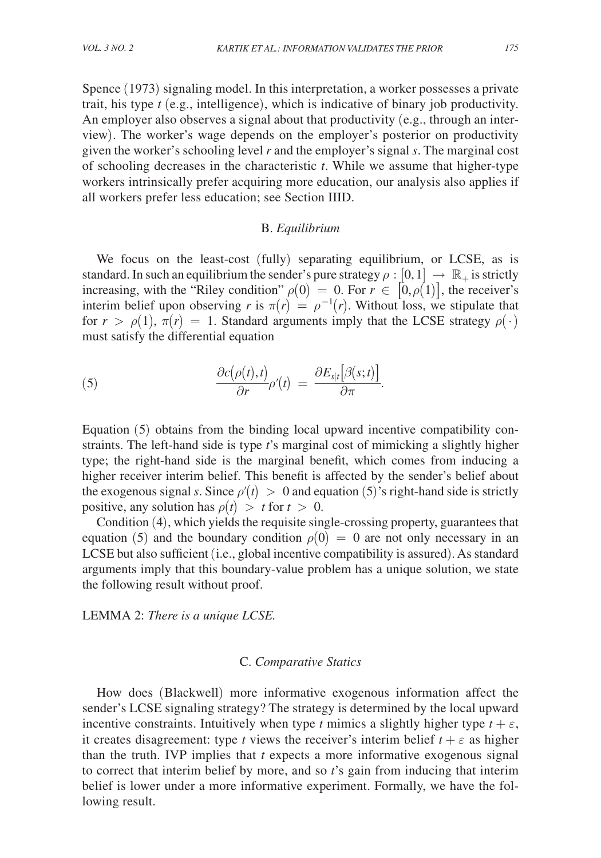Spence (1973) signaling model. In this interpretation, a worker possesses a private trait, his type *t* (e.g., intelligence), which is indicative of binary job productivity. An employer also observes a signal about that productivity (e.g., through an interview). The worker's wage depends on the employer's posterior on productivity given the worker's schooling level *r* and the employer's signal *s*. The marginal cost of schooling decreases in the characteristic *t*. While we assume that higher-type workers intrinsically prefer acquiring more education, our analysis also applies if all workers prefer less education; see Section IIID.

#### B. *Equilibrium*

We focus on the least-cost (fully) separating equilibrium, or LCSE, as is standard. In such an equilibrium the sender's pure strategy  $\rho : [0,1] \rightarrow \mathbb{R}_+$  is strictly increasing, with the "Riley condition"  $\rho(0) = 0$ . For  $r \in [0, \rho(1)]$ , the receiver's interim belief upon observing *r* is  $\pi(r) = \rho^{-1}(r)$ . Without loss, we stipulate that for *r* >  $\rho(1)$ ,  $\pi(r) = 1$ . Standard arguments imply that the LCSE strategy  $\rho(\cdot)$ <br>
must satisfy the differential equation<br>
(5)  $\frac{\partial c(\rho(t),t)}{\partial r} \rho'(t) = \frac{\partial E_{s|t}[\beta(s;t)]}{\partial \pi}$ .

must satisfy the differential equation  
\n(5) 
$$
\frac{\partial c(\rho(t),t)}{\partial r} \rho'(t) = \frac{\partial E_{s|t}[\beta(s;t)]}{\partial \pi}.
$$

Equation (5) obtains from the binding local upward incentive compatibility constraints. The left-hand side is type *t*'s marginal cost of mimicking a slightly higher type; the right-hand side is the marginal benefit, which comes from inducing a higher receiver interim belief. This benefit is affected by the sender's belief about the exogenous signal *s*. Since  $\rho'(t) > 0$  and equation (5)'s right-hand side is strictly positive, any solution has  $\rho(t) > t$  for  $t > 0$ .

Condition (4), which yields the requisite single-crossing property, guarantees that equation (5) and the boundary condition  $\rho(0) = 0$  are not only necessary in an LCSE but also sufficient (i.e., global incentive compatibility is assured). As standard arguments imply that this boundary-value problem has a unique solution, we state the following result without proof.

LEMMA 2: *There is a unique LCSE.*

# C. *Comparative Statics*

How does (Blackwell) more informative exogenous information affect the sender's LCSE signaling strategy? The strategy is determined by the local upward incentive constraints. Intuitively when type *t* mimics a slightly higher type  $t + \varepsilon$ , it creates disagreement: type *t* views the receiver's interim belief  $t + \varepsilon$  as higher than the truth. IVP implies that *t* expects a more informative exogenous signal to correct that interim belief by more, and so *t*'s gain from inducing that interim belief is lower under a more informative experiment. Formally, we have the following result.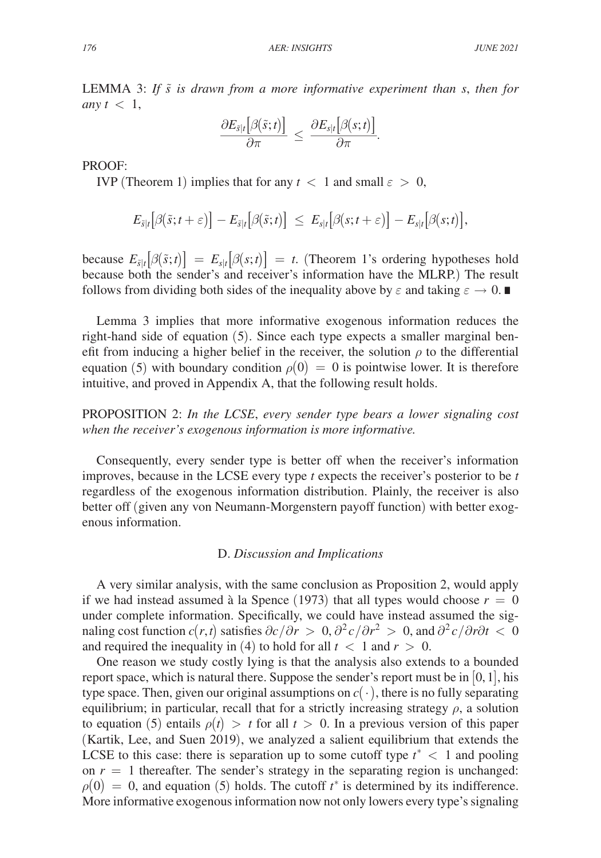LEMMA 3: *If s*̃ *is drawn from a more informative experiment than s*, *then for any*  $t < 1$ , *CHEMMA 3: If*  $\tilde{s}$  *is drawn from a more informative experiments*  $\frac{\partial E_{\tilde{s}|t}[\beta(\tilde{s};t)]}{\partial \pi} \leq \frac{\partial E_{s|t}[\beta(s;t)]}{\partial \pi}$ .<br>PROOF:

$$
\frac{\partial E_{\tilde{s}|t}[\beta(\tilde{s};t)]}{\partial \pi} \leq \frac{\partial E_{s|t}[\beta(s;t)]}{\partial \pi}.
$$

PROOF:

IVP (Theorem 1) implies that for any  $t < 1$  and small  $\varepsilon > 0$ ,

$$
E_{\tilde{s}|t}\big[\beta(\tilde{s};t+\varepsilon)\big]-E_{\tilde{s}|t}\big[\beta(\tilde{s};t)\big] ~\leq ~ E_{s|t}\big[\beta(s;t+\varepsilon)\big]-E_{s|t}\big[\beta(s;t)\big],
$$

because  $E_{\tilde{s}|t}[\beta(\tilde{s};t)] = E_{s|t}[\beta(s;t)] = t$ . (Theorem 1's ordering hypotheses hold because both the sender's and receiver's information have the MLRP.) The result follows from dividing both sides of the inequality above by  $\varepsilon$  and taking  $\varepsilon \to 0$ .

Lemma 3 implies that more informative exogenous information reduces the right-hand side of equation (5). Since each type expects a smaller marginal benefit from inducing a higher belief in the receiver, the solution  $\rho$  to the differential equation (5) with boundary condition  $\rho(0) = 0$  is pointwise lower. It is therefore intuitive, and proved in Appendix A, that the following result holds.

PROPOSITION 2: *In the LCSE*, *every sender type bears a lower signaling cost when the receiver's exogenous information is more informative.*

Consequently, every sender type is better off when the receiver's information improves, because in the LCSE every type *t* expects the receiver's posterior to be *t* regardless of the exogenous information distribution. Plainly, the receiver is also better off (given any von Neumann-Morgenstern payoff function) with better exogenous information.

## D. *Discussion and Implications*

A very similar analysis, with the same conclusion as Proposition 2, would apply if we had instead assumed à la Spence (1973) that all types would choose  $r = 0$ under complete information. Specifically, we could have instead assumed the signaling cost function  $c(r,t)$  satisfies  $\partial c/\partial r > 0$ ,  $\partial^2 c/\partial r^2 > 0$ , and  $\partial^2 c/\partial r \partial t < 0$ and required the inequality in (4) to hold for all  $t < 1$  and  $r > 0$ .

One reason we study costly lying is that the analysis also extends to a bounded report space, which is natural there. Suppose the sender's report must be in  $[0, 1]$ , his type space. Then, given our original assumptions on  $c(\cdot)$ , there is no fully separating equilibrium; in particular, recall that for a strictly increasing strategy  $\rho$ , a solution to equation (5) entails  $\rho(t) > t$  for all  $t > 0$ . In a previous version of this paper (Kartik, Lee, and Suen 2019), we analyzed a salient equilibrium that extends the LCSE to this case: there is separation up to some cutoff type  $t^* < 1$  and pooling on  $r = 1$  thereafter. The sender's strategy in the separating region is unchanged:  $\rho(0) = 0$ , and equation (5) holds. The cutoff  $t^*$  is determined by its indifference. More informative exogenous information now not only lowers every type's signaling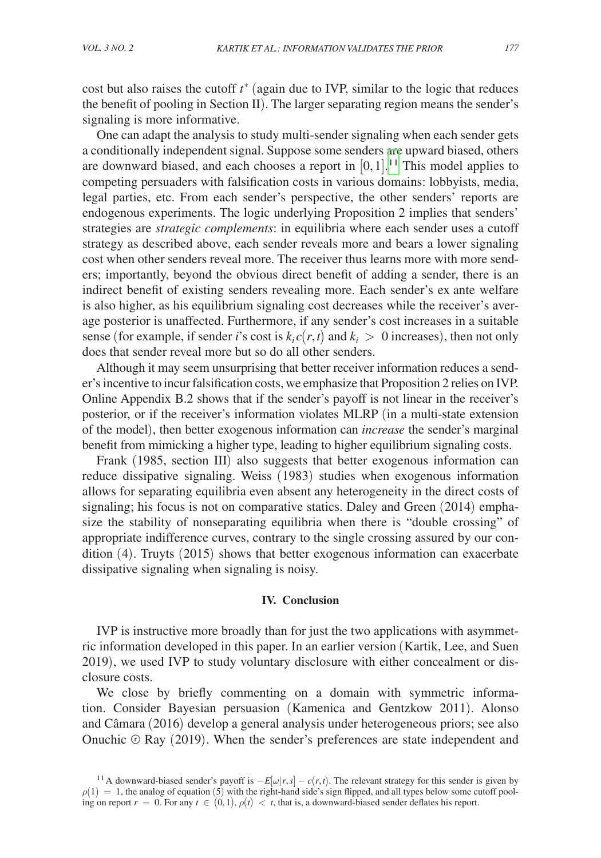cost but also raises the cutoff *t* <sup>∗</sup> (again due to IVP, similar to the logic that reduces the benefit of pooling in Section II). The larger separating region means the sender's signaling is more informative.

One can adapt the analysis to study multi-sender signaling when each sender gets a conditionally independent signal. Suppose some senders are upward biased, others are downward biased, and each chooses a report in  $[0, 1]$ .<sup>[11](#page-13-0)</sup> This model applies to competing persuaders with falsification costs in various domains: lobbyists, media, legal parties, etc. From each sender's perspective, the other senders' reports are endogenous experiments. The logic underlying Proposition 2 implies that senders' strategies are *strategic complements*: in equilibria where each sender uses a cutoff strategy as described above, each sender reveals more and bears a lower signaling cost when other senders reveal more. The receiver thus learns more with more senders; importantly, beyond the obvious direct benefit of adding a sender, there is an indirect benefit of existing senders revealing more. Each sender's ex ante welfare is also higher, as his equilibrium signaling cost decreases while the receiver's average posterior is unaffected. Furthermore, if any sender's cost increases in a suitable sense (for example, if sender *i*'s cost is  $k_i c(r, t)$  and  $k_i > 0$  increases), then not only does that sender reveal more but so do all other senders.

Although it may seem unsurprising that better receiver information reduces a sender's incentive to incur falsification costs, we emphasize that Proposition 2 relies on IVP. Online Appendix B.2 shows that if the sender's payoff is not linear in the receiver's posterior, or if the receiver's information violates MLRP (in a multi-state extension of the model), then better exogenous information can *increase* the sender's marginal benefit from mimicking a higher type, leading to higher equilibrium signaling costs.

Frank (1985, section III) also suggests that better exogenous information can reduce dissipative signaling. Weiss (1983) studies when exogenous information allows for separating equilibria even absent any heterogeneity in the direct costs of signaling; his focus is not on comparative statics. Daley and Green (2014) emphasize the stability of nonseparating equilibria when there is "double crossing" of appropriate indifference curves, contrary to the single crossing assured by our condition (4). Truyts (2015) shows that better exogenous information can exacerbate dissipative signaling when signaling is noisy.

#### **IV. Conclusion**

IVP is instructive more broadly than for just the two applications with asymmetric information developed in this paper. In an earlier version (Kartik, Lee, and Suen 2019), we used IVP to study voluntary disclosure with either concealment or disclosure costs.

We close by briefly commenting on a domain with symmetric information. Consider Bayesian persuasion (Kamenica and Gentzkow 2011). Alonso and Câmara (2016) develop a general analysis under heterogeneous priors; see also Onuchic  $\odot$  Ray (2019). When the sender's preferences are state independent and

<span id="page-13-0"></span><sup>&</sup>lt;sup>11</sup>A downward-biased sender's payoff is  $-E[\omega|r,s] - c(r,t)$ . The relevant strategy for this sender is given by  $\rho(1) = 1$ , the analog of equation (5) with the right-hand side's sign flipped, and all types below some cutoff pooling on report  $r = 0$ . For any  $t \in (0,1)$ ,  $\rho(t) < t$ , that is, a downward-biased sender deflates his report.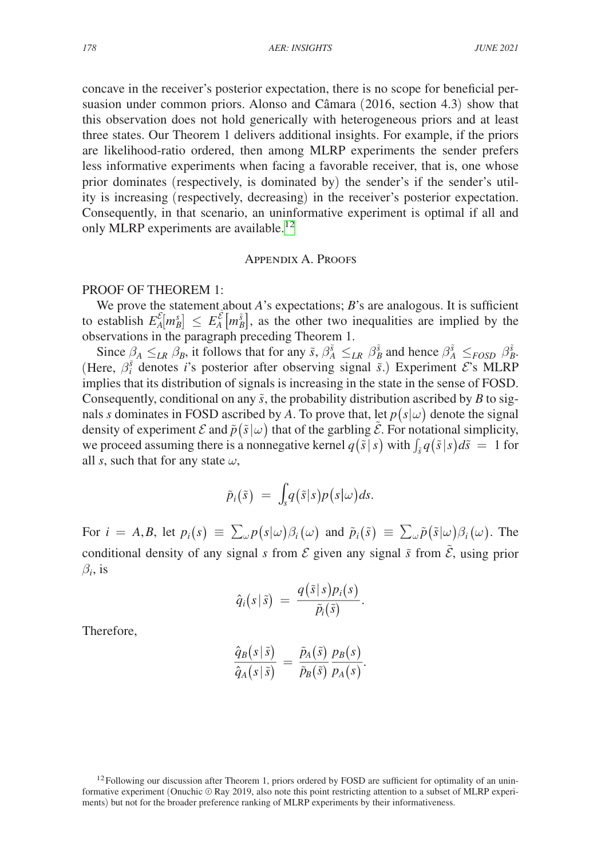concave in the receiver's posterior expectation, there is no scope for beneficial persuasion under common priors. Alonso and Câmara (2016, section 4.3) show that this observation does not hold generically with heterogeneous priors and at least three states. Our Theorem 1 delivers additional insights. For example, if the priors are likelihood-ratio ordered, then among MLRP experiments the sender prefers less informative experiments when facing a favorable receiver, that is, one whose prior dominates (respectively, is dominated by) the sender's if the sender's utility is increasing (respectively, decreasing) in the receiver's posterior expectation. Consequently, in that scenario, an uninformative experiment is optimal if all and only MLRP experiments are available.<sup>[12](#page-14-0)</sup>

# Appendix A. Proofs

# PROOF OF THEOREM 1:

We prove the statement about *A*'s expectations; *B*'s are analogous. It is sufficient to establish  $E_A^{\mathcal{E}}[m_B^s] \le E_A^{\mathcal{E}}[m_B^s]$ , as the other two inequalities are implied by the observations in the paragraph preceding Theorem 1.

Since  $\beta_A \leq_{LR} \beta_B$ , it follows that for any  $\tilde{s}$ ,  $\beta_A^{\tilde{s}} \leq_{LR} \beta_B^{\tilde{s}}$  and hence  $\beta_A^{\tilde{s}} \leq_{FOSD} \beta_B^{\tilde{s}}$ . (Here,  $\beta_i^{\tilde{s}}$  denotes *i*'s posterior after observing signal  $\tilde{s}$ .) Experiment  $\mathcal{E}$ 's MLRP implies that its distribution of signals is increasing in the state in the sense of FOSD. Consequently, conditional on any  $\tilde{s}$ , the probability distribution ascribed by *B* to signals *s* dominates in FOSD ascribed by *A*. To prove that, let  $p(s|\omega)$  denote the signal density of experiment  $\mathcal E$  and  $\tilde p(\tilde s|\omega)$  that of the garbling  $\tilde{\mathcal E}$ . For notational simplicity, we proceed assuming there is a nonnegative kernel  $q(\tilde{s} | s)$  with  $\int_{\tilde{s}} q(\tilde{s} | s) d\tilde{s} = 1$  for all *s*, such that for any state  $\omega$ ,

$$
\tilde{p}_i(\tilde{s}) = \int_s q(\tilde{s}|s)p(s|\omega)ds.
$$

For  $i = A, B$ , let  $p_i(s) \equiv \sum_{\omega} p(s|\omega) \beta_i(\omega)$  and  $\tilde{p}_i(\tilde{s}) \equiv \sum_{\omega} \tilde{p}(\tilde{s}|\omega) \beta_i(\omega)$ . The conditional density of any signal *s* from  $\mathcal E$  given any signal  $\tilde{s}$  from  $\tilde{\mathcal E}$ , using prior  $\beta_i$ , is

$$
\hat{q}_i(s|\tilde{s}) = \frac{q(\tilde{s}|s)p_i(s)}{\tilde{p}_i(\tilde{s})}.
$$

Therefore,

$$
\frac{\hat{q}_B(s|\tilde{s})}{\hat{q}_A(s|\tilde{s})} = \frac{\tilde{p}_A(\tilde{s})}{\tilde{p}_B(\tilde{s})} \frac{p_B(s)}{p_A(s)}.
$$

<span id="page-14-0"></span> $12$ Following our discussion after Theorem 1, priors ordered by FOSD are sufficient for optimality of an uninformative experiment (Onuchic  $\odot$  Ray 2019, also note this point restricting attention to a subset of MLRP experiments) but not for the broader preference ranking of MLRP experiments by their informativeness.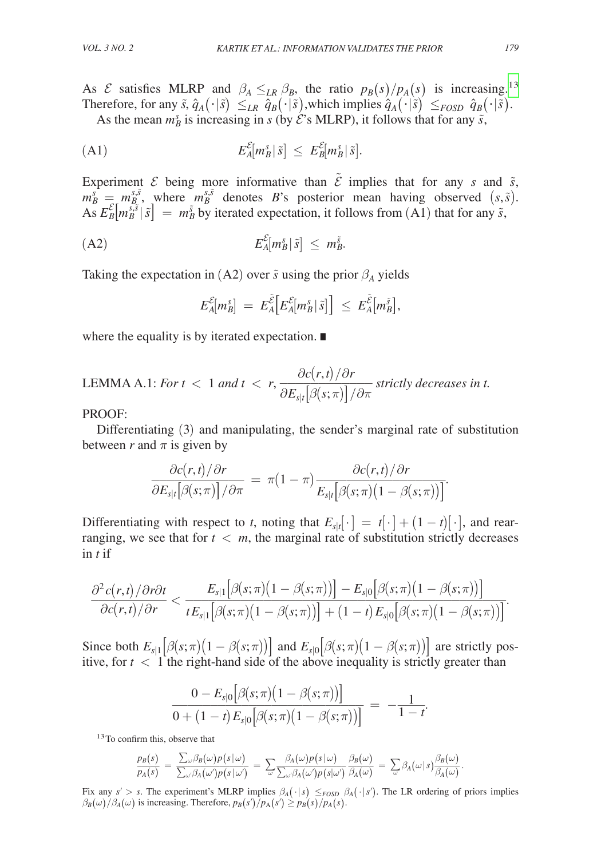As *E* satisfies MLRP and  $\beta_A \leq_{LR} \beta_B$ , the ratio  $p_B(s)/p_A(s)$  is increasing.<sup>13</sup> Therefore, for any  $\tilde{s}$ ,  $\hat{q}_A(\cdot|\tilde{s}) \leq_{LR} \hat{q}_B(\cdot|\tilde{s})$ , which implies  $\hat{q}_A(\cdot|\tilde{s}) \leq_{FOSD} \hat{q}_B(\cdot|\tilde{s})$ .

As the mean  $m_B^s$  is increasing in *s* (by  $\mathcal{E}$ 's MLRP), it follows that for any  $\tilde{s}$ ,

$$
E_A^{\mathcal{E}}[m_B^s|\tilde{s}] \leq E_B^{\mathcal{E}}[m_B^s|\tilde{s}].
$$

Experiment  $\mathcal E$  being more informative than  $\mathcal E$  implies that for any *s* and  $\tilde{s}$ ,  $m_B^s = m_B^{s,\tilde{s}}$ , where  $m_B^{s,\tilde{s}}$  denotes *B*'s posterior mean having observed  $(s,\tilde{s})$ .  $\overline{AS} E_{B}^{\mathcal{E}}[m_{B}^{\tilde{s},\tilde{s}} | \tilde{s}] = m_{B}^{\tilde{s}}$  by iterated expectation, it follows from (A1) that for any  $\tilde{s}$ ,

$$
E_A^{\mathcal{E}}[m_B^s|\tilde{s}] \leq m_B^{\tilde{s}}.
$$

Taking the expectation in (A2) over  $\tilde{s}$  using the prior  $\beta_A$  yields

$$
E_{A}^{\mathcal{E}}[m^s_B] \ = \ E_{A}^{\tilde{\mathcal{E}}}\Big[E_{A}^{\mathcal{E}}[m^s_B|\, \tilde{s}]\Big] \ \leq \ E_{A}^{\tilde{\mathcal{E}}}\big[m^{\tilde{s}}_B\big],
$$

where the equality is by iterated expectation. ∎

LEMMA A.1: *For* 
$$
t
$$
 < 1 *and*  $t$  <  $r$ ,  $\frac{\partial c(r,t)/\partial r}{\partial E_{s|t}[\beta(s;\pi)]/\partial \pi}$  *strictly decreases in*  $t$ .

PROOF:

Differentiating (3) and manipulating, the sender's marginal rate of substitution between  $r$  and  $\pi$  is given by

between *r* and 
$$
\pi
$$
 is given by  
\n
$$
\frac{\partial c(r,t)/\partial r}{\partial E_{s|t}[\beta(s;\pi)]/\partial \pi} = \pi(1-\pi) \frac{\partial c(r,t)/\partial r}{E_{s|t}[\beta(s;\pi)(1-\beta(s;\pi))]}.
$$

Differentiating with respect to *t*, noting that  $E_{s|t}[\cdot] = t[\cdot] + (1-t)[\cdot]$ , and rearranging, we see that for  $t < m$ , the marginal rate of substitution strictly decreases in *t* if

<sup>∂</sup><sup>2</sup> *<sup>c</sup>*(*r*,*t*)/∂*r*∂*<sup>t</sup>* \_\_\_\_\_\_\_\_\_\_\_<sup>∂</sup>*c*(*r*,*t*)/∂*<sup>r</sup>* <sup>&</sup>lt; \_\_\_\_\_\_\_\_\_\_\_\_\_\_\_\_\_\_\_\_\_\_\_\_\_\_\_\_\_\_\_\_\_\_\_\_\_\_\_\_\_ *Es*|<sup>1</sup>[β(*s*;π)(<sup>1</sup> <sup>−</sup> β(*s*;π))] <sup>−</sup>*Es*|<sup>0</sup>[β(*s*;π)(<sup>1</sup> <sup>−</sup> β(*s*;π))] *<sup>t</sup> Es*|<sup>1</sup>[β(*s*;π)(<sup>1</sup> <sup>−</sup> β(*s*;π))] + (<sup>1</sup> <sup>−</sup> *<sup>t</sup>*) *Es*|<sup>0</sup>[β(*s*;π)(<sup>1</sup> <sup>−</sup> β(*s*;π))] .

Since both  $E_{s|1}[\beta(s;\pi)(1-\beta(s;\pi))]$  and  $E_{s|0}[\beta(s;\pi)(1-\beta(s;\pi))]$  are strictly pos-

itive, for 
$$
t < 1
$$
 the right-hand side of the above inequality is strictly greater than  
\n
$$
\frac{0 - E_{s|0}[\beta(s;\pi)(1-\beta(s;\pi))]}{0 + (1-t)E_{s|0}[\beta(s;\pi)(1-\beta(s;\pi))]} = -\frac{1}{1-t}.
$$
\n<sup>13</sup>To confirm this, observe that

<span id="page-15-0"></span><sup>13</sup>To confirm this, observe that

$$
\text{if } \mathsf{h} \text{ is, observe that} \\
\frac{p_B(s)}{p_A(s)} = \frac{\sum_{\omega} \beta_B(\omega) p(s|\omega)}{\sum_{\omega'} \beta_A(\omega') p(s|\omega')} = \sum_{\omega} \frac{\beta_A(\omega) p(s|\omega)}{\sum_{\omega'} \beta_A(\omega') p(s|\omega')} \frac{\beta_B(\omega)}{\beta_A(\omega)} = \sum_{\omega} \beta_A(\omega) s \frac{\beta_B(\omega)}{\beta_A(\omega)}.
$$

Fix any  $s' > s$ . The experiment's MLRP implies  $\beta_A(\cdot | s) \leq_{FOSD} \beta_A(\cdot | s')$ . The LR ordering of priors implies  $\beta_B(\omega)/\beta_A(\omega)$  is increasing. Therefore,  $p_B(s')/p_A(s') \geq p_B(s)/p_A(s)$ .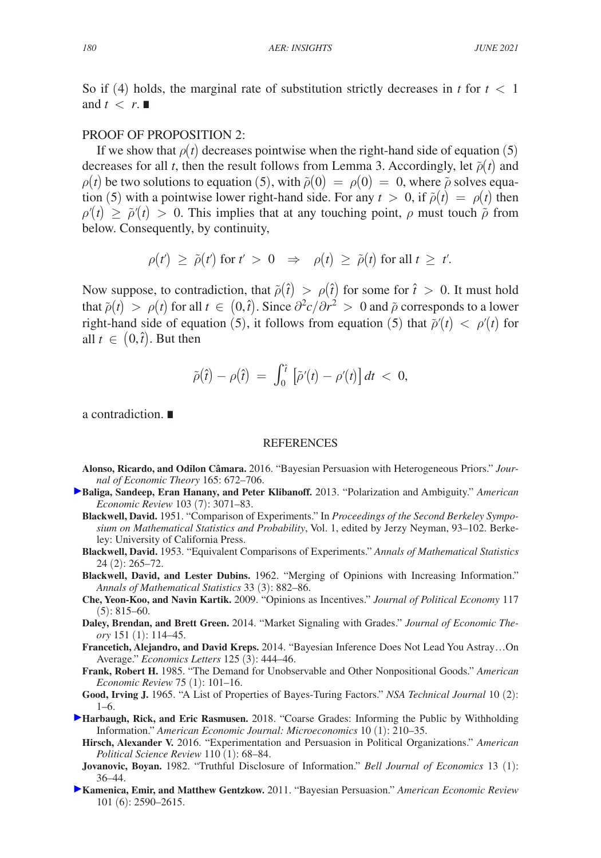So if (4) holds, the marginal rate of substitution strictly decreases in  $t$  for  $t < 1$ and  $t < r$ .

# PROOF OF PROPOSITION 2:

If we show that  $\rho(t)$  decreases pointwise when the right-hand side of equation (5) decreases for all *t*, then the result follows from Lemma 3. Accordingly, let  $\tilde{\rho}(t)$  and  $\rho(t)$  be two solutions to equation (5), with  $\tilde{\rho}(0) = \rho(0) = 0$ , where  $\tilde{\rho}$  solves equation (5) with a pointwise lower right-hand side. For any  $t > 0$ , if  $\tilde{\rho}(t) = \rho(t)$  then  $\rho'(t) \geq \tilde{\rho}'(t) > 0$ . This implies that at any touching point,  $\rho$  must touch  $\tilde{\rho}$  from below. Consequently, by continuity,

$$
\rho(t') \geq \tilde{\rho}(t') \text{ for } t' > 0 \Rightarrow \rho(t) \geq \tilde{\rho}(t) \text{ for all } t \geq t'.
$$

Now suppose, to contradiction, that  $\tilde{\rho}(\hat{t}) > \rho(\hat{t})$  for some for  $\hat{t} > 0$ . It must hold that  $\tilde{\rho}(t) > \rho(t)$  for all  $t \in (0, \hat{t})$ . Since  $\partial^2 c / \partial r^2 > 0$  and  $\tilde{\rho}$  corresponds to a lower right-hand side of equation (5), it follows from equation (5) that  $\tilde{\rho}'(t) < \rho'(t)$  for all  $t \in (0, \hat{t})$ . But then

$$
\widetilde{\rho}(\hat{t})-\rho(\hat{t})\ =\ \int_0^{\hat{t}}\left[\widetilde{\rho}'(t)-\rho'(t)\right]dt\ <\ 0,
$$

a contradiction. ∎

#### REFERENCES

- **Alonso, Ricardo, and Odilon Câmara.** 2016. "Bayesian Persuasion with Heterogeneous Priors." *Journal of Economic Theory* 165: 672–706.
- **[B](http://pubs.aeaweb.org/action/showLinks?system=10.1257%2Faer.103.7.3071&citationId=p_2)aliga, Sandeep, Eran Hanany, and Peter Klibanoff.** 2013. "Polarization and Ambiguity." *American Economic Review* 103 (7): 3071–83.
	- **Blackwell, David.** 1951. "Comparison of Experiments." In *Proceedings of the Second Berkeley Symposium on Mathematical Statistics and Probability*, Vol. 1, edited by Jerzy Neyman, 93–102. Berkeley: University of California Press.
	- **Blackwell, David.** 1953. "Equivalent Comparisons of Experiments." *Annals of Mathematical Statistics*  24 (2): 265–72.
	- **Blackwell, David, and Lester Dubins.** 1962. "Merging of Opinions with Increasing Information." *Annals of Mathematical Statistics* 33 (3): 882–86.
	- **Che, Yeon-Koo, and Navin Kartik.** 2009. "Opinions as Incentives." *Journal of Political Economy* 117  $(5): 815-60.$
	- **Daley, Brendan, and Brett Green.** 2014. "Market Signaling with Grades." *Journal of Economic Theory* 151 (1): 114–45.
	- **Francetich, Alejandro, and David Kreps.** 2014. "Bayesian Inference Does Not Lead You Astray…On Average." *Economics Letters* 125 (3): 444–46.
	- **Frank, Robert H.** 1985. "The Demand for Unobservable and Other Nonpositional Goods." *American Economic Review* 75 (1): 101–16.
	- **Good, Irving J.** 1965. "A List of Properties of Bayes-Turing Factors." *NSA Technical Journal* 10 (2): 1–6.
- **[H](http://pubs.aeaweb.org/action/showLinks?system=10.1257%2Fmic.20130078&citationId=p_11)arbaugh, Rick, and Eric Rasmusen.** 2018. "Coarse Grades: Informing the Public by Withholding Information." *American Economic Journal: Microeconomics* 10 (1): 210–35.
	- **Hirsch, Alexander V.** 2016. "Experimentation and Persuasion in Political Organizations." *American Political Science Review* 110 (1): 68–84.
	- **Jovanovic, Boyan.** 1982. "Truthful Disclosure of Information." *Bell Journal of Economics* 13 (1): 36–44.
- **[K](http://pubs.aeaweb.org/action/showLinks?system=10.1257%2Faer.101.6.2590&citationId=p_14)amenica, Emir, and Matthew Gentzkow.** 2011. "Bayesian Persuasion." *American Economic Review*  101 (6): 2590–2615.